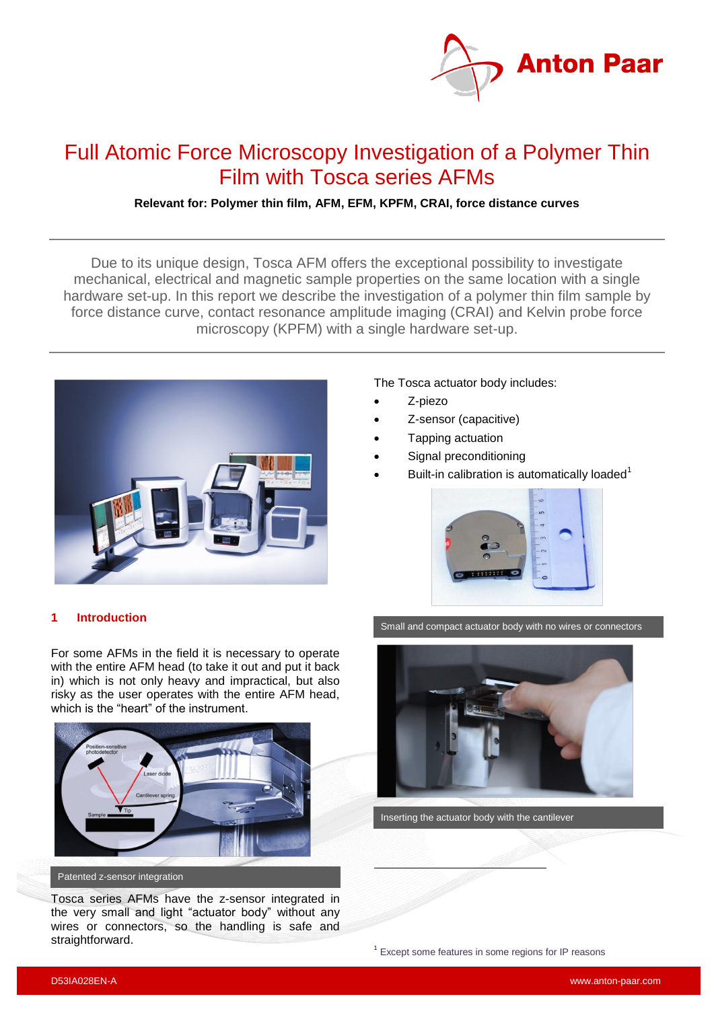

# Full Atomic Force Microscopy Investigation of a Polymer Thin Film with Tosca series AFMs

# **Relevant for: Polymer thin film, AFM, EFM, KPFM, CRAI, force distance curves**

Due to its unique design, Tosca AFM offers the exceptional possibility to investigate mechanical, electrical and magnetic sample properties on the same location with a single hardware set-up. In this report we describe the investigation of a polymer thin film sample by force distance curve, contact resonance amplitude imaging (CRAI) and Kelvin probe force microscopy (KPFM) with a single hardware set-up.



The Tosca actuator body includes:

- Z-piezo
- Z-sensor (capacitive)
- Tapping actuation
- Signal preconditioning
- Built-in calibration is automatically loaded $1$



### **1 Introduction**

For some AFMs in the field it is necessary to operate with the entire AFM head (to take it out and put it back in) which is not only heavy and impractical, but also risky as the user operates with the entire AFM head, which is the "heart" of the instrument.



Patented z-sensor integration

Tosca series AFMs have the z-sensor integrated in the very small and light "actuator body" without any wires or connectors, so the handling is safe and straightforward.

Small and compact actuator body with no wires or connectors



Inserting the actuator body with the cantilever

į

<sup>1</sup> Except some features in some regions for IP reasons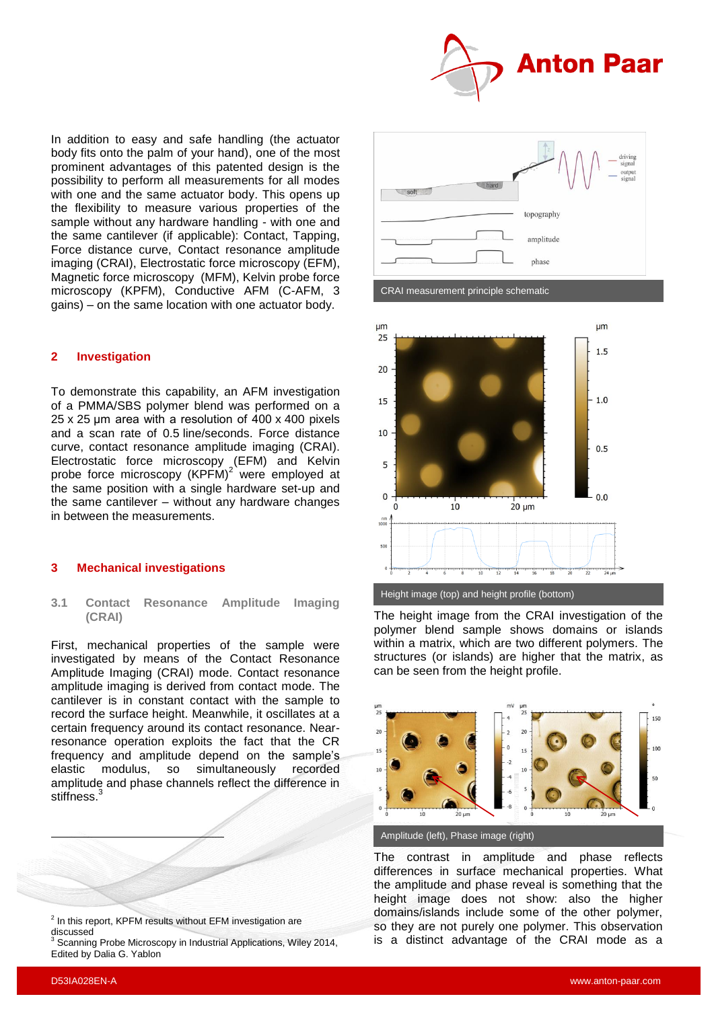

In addition to easy and safe handling (the actuator body fits onto the palm of your hand), one of the most prominent advantages of this patented design is the possibility to perform all measurements for all modes with one and the same actuator body. This opens up the flexibility to measure various properties of the sample without any hardware handling - with one and the same cantilever (if applicable): Contact, Tapping, Force distance curve, Contact resonance amplitude imaging (CRAI), Electrostatic force microscopy (EFM), Magnetic force microscopy (MFM), Kelvin probe force microscopy (KPFM), Conductive AFM (C-AFM, 3 gains) – on the same location with one actuator body.

#### **2 Investigation**

<span id="page-1-1"></span>To demonstrate this capability, an AFM investigation of a PMMA/SBS polymer blend was performed on a 25 x 25 μm area with a resolution of 400 x 400 pixels and a scan rate of 0.5 line/seconds. Force distance curve, contact resonance amplitude imaging (CRAI). Electrostatic force microscopy (EFM) and Kelvin probe force microscopy (KPFM)<sup>2</sup> were employed at the same position with a single hardware set-up and the same cantilever – without any hardware changes in between the measurements.

#### **3 Mechanical investigations**

#### **3.1 Contact Resonance Amplitude Imaging (CRAI)**

First, mechanical properties of the sample were investigated by means of the Contact Resonance Amplitude Imaging (CRAI) mode. Contact resonance amplitude imaging is derived from contact mode. The cantilever is in constant contact with the sample to record the surface height. Meanwhile, it oscillates at a certain frequency around its contact resonance. Nearresonance operation exploits the fact that the CR frequency and amplitude depend on the sample's elastic modulus, so simultaneously recorded amplitude and phase channels reflect the difference in stiffness.<sup>3</sup>







The height image from the CRAI investigation of the polymer blend sample shows domains or islands within a matrix, which are two different polymers. The structures (or islands) are higher that the matrix, as can be seen from the height profile.



Amplitude (left), Phase image (right)

The contrast in amplitude and phase reflects differences in surface mechanical properties. What the amplitude and phase reveal is something that the height image does not show: also the higher domains/islands include some of the other polymer, so they are not purely one polymer. This observation is a distinct advantage of the CRAI mode as a

<span id="page-1-0"></span>l

 $2$  In this report, KPFM results without EFM investigation are discussed <sup>3</sup> Scanning Probe Microscopy in Industrial Applications, Wiley 2014,

Edited by Dalia G. Yablon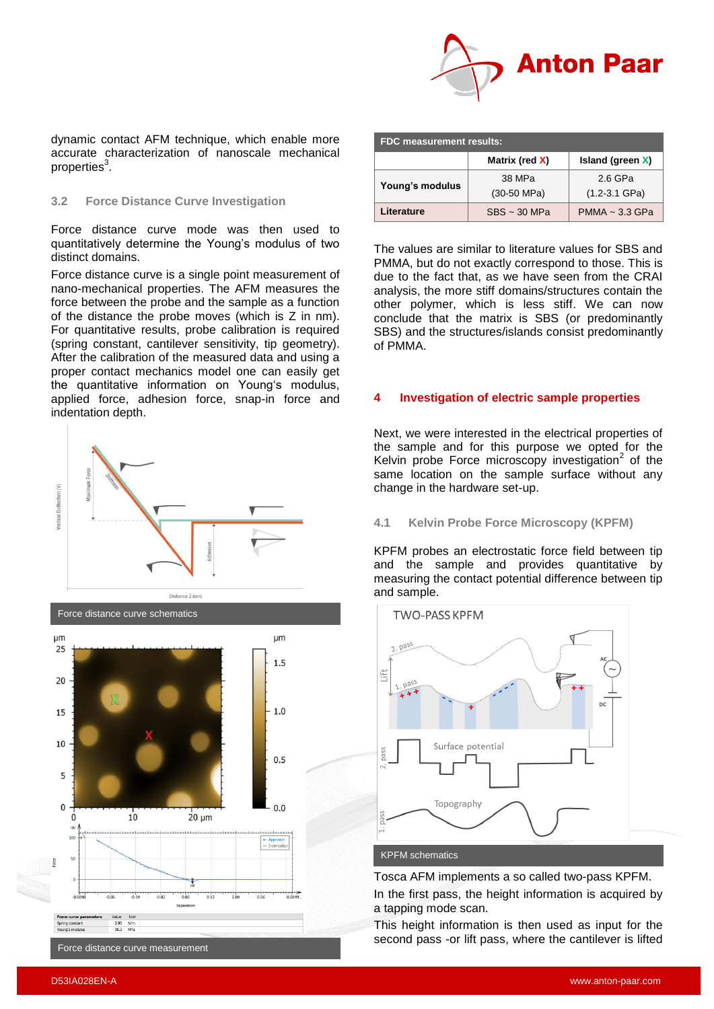

dynamic contact AFM technique, which enable more accurate characterization of nanoscale mechanical properties<sup>3</sup>[.](#page-1-0)

#### **3.2 Force Distance Curve Investigation**

Force distance curve mode was then used to quantitatively determine the Young's modulus of two distinct domains.

Force distance curve is a single point measurement of nano-mechanical properties. The AFM measures the force between the probe and the sample as a function of the distance the probe moves (which is Z in nm). For quantitative results, probe calibration is required (spring constant, cantilever sensitivity, tip geometry). After the calibration of the measured data and using a proper contact mechanics model one can easily get the quantitative information on Young's modulus, applied force, adhesion force, snap-in force and indentation depth.





| <b>FDC measurement results:</b> |                   |                     |
|---------------------------------|-------------------|---------------------|
|                                 | Matrix (red X)    | Island (green $X$ ) |
| Young's modulus                 | 38 MPa            | 2.6 GPa             |
|                                 | $(30-50$ MPa)     | $(1.2 - 3.1$ GPa)   |
| Literature                      | $SBS \sim 30 MPa$ | $PMMA \sim 3.3$ GPa |

The values are similar to literature values for SBS and PMMA, but do not exactly correspond to those. This is due to the fact that, as we have seen from the CRAI analysis, the more stiff domains/structures contain the other polymer, which is less stiff. We can now conclude that the matrix is SBS (or predominantly SBS) and the structures/islands consist predominantly of PMMA.

#### **4 Investigation of electric sample properties**

Next, we were interested in the electrical properties of the sample and for this purpose we opted for the Kelvin probe Force microscopy investigation $2$  of the same location on the sample surface without any change in the hardware set-up.

#### **4.1 Kelvin Probe Force Microscopy (KPFM)**

KPFM probes an electrostatic force field between tip and the sample and provides quantitative by measuring the contact potential difference between tip and sample.



#### KPFM schematics

Tosca AFM implements a so called two-pass KPFM. In the first pass, the height information is acquired by a tapping mode scan.

This height information is then used as input for the second pass -or lift pass, where the cantilever is lifted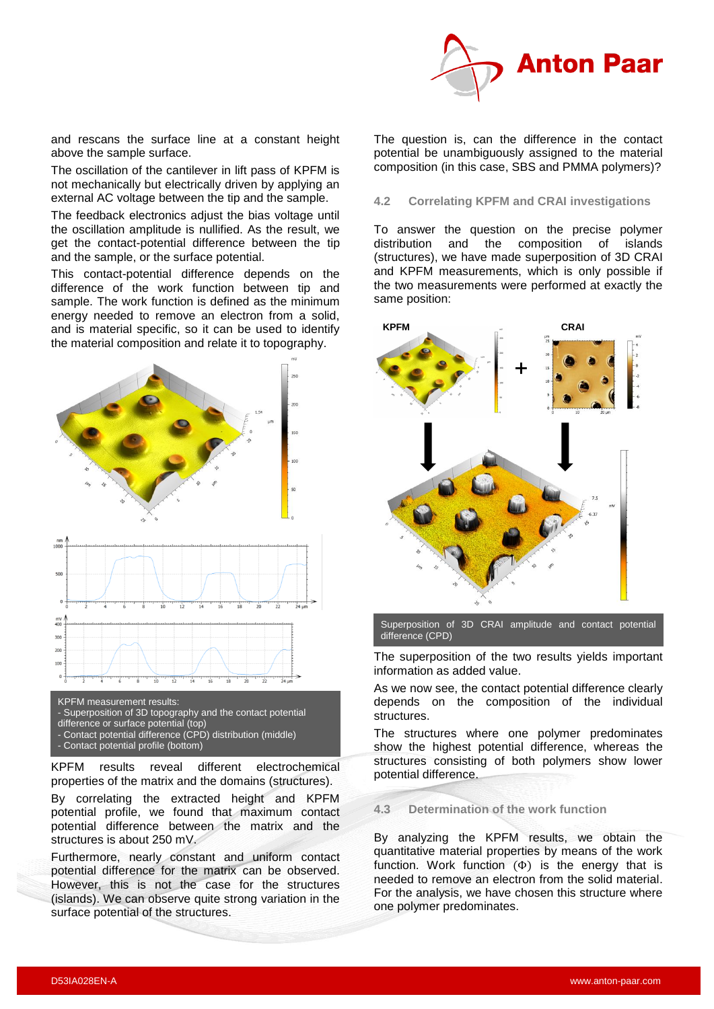

and rescans the surface line at a constant height above the sample surface.

The oscillation of the cantilever in lift pass of KPFM is not mechanically but electrically driven by applying an external AC voltage between the tip and the sample.

The feedback electronics adjust the bias voltage until the oscillation amplitude is nullified. As the result, we get the contact-potential difference between the tip and the sample, or the surface potential.

This contact-potential difference depends on the difference of the work function between tip and sample. The work function is defined as the minimum energy needed to remove an electron from a solid, and is material specific, so it can be used to identify the material composition and relate it to topography.



- KPFM measurement results:
- Superposition of 3D topography and the contact potential
- difference or surface potential (top)
- Contact potential difference (CPD) distribution (middle)
- Contact potential profile (bottom)

KPFM results reveal different electrochemical properties of the matrix and the domains (structures).

By correlating the extracted height and KPFM potential profile, we found that maximum contact potential difference between the matrix and the structures is about 250 mV.

Furthermore, nearly constant and uniform contact potential difference for the matrix can be observed. However, this is not the case for the structures (islands). We can observe quite strong variation in the surface potential of the structures.

The question is, can the difference in the contact potential be unambiguously assigned to the material composition (in this case, SBS and PMMA polymers)?

# **4.2 Correlating KPFM and CRAI investigations**

To answer the question on the precise polymer<br>distribution and the composition of islands distribution and the composition of islands (structures), we have made superposition of 3D CRAI and KPFM measurements, which is only possible if the two measurements were performed at exactly the same position:



Superposition of 3D CRAI amplitude and contact potential difference (CPD)

The superposition of the two results yields important information as added value.

As we now see, the contact potential difference clearly depends on the composition of the individual structures.

The structures where one polymer predominates show the highest potential difference, whereas the structures consisting of both polymers show lower potential difference.

# **4.3 Determination of the work function**

By analyzing the KPFM results, we obtain the quantitative material properties by means of the work function. Work function  $(\Phi)$  is the energy that is needed to remove an electron from the solid material. For the analysis, we have chosen this structure where one polymer predominates.